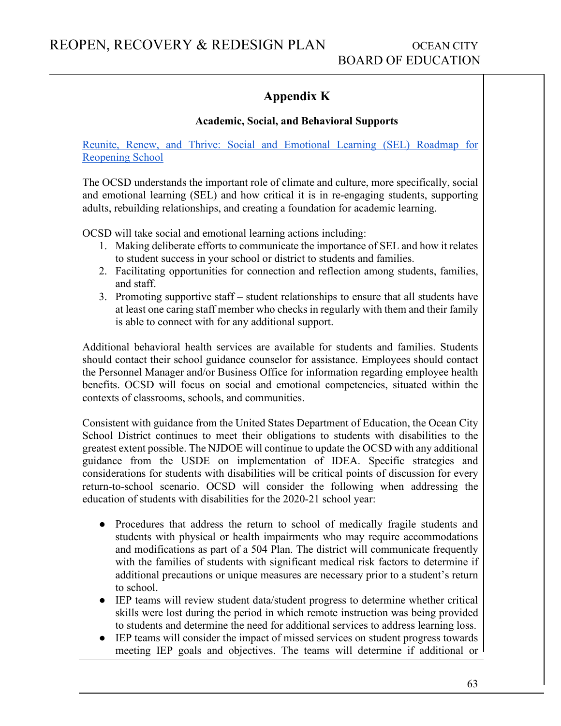# **Appendix K**

### **Academic, Social, and Behavioral Supports**

[Reunite, Renew, and Thrive: Social and Emotional Learning \(SEL\) Roadmap for](https://casel.org/wp-content/uploads/2020/07/SEL-ROADMAP.pdf)  [Reopening School](https://casel.org/wp-content/uploads/2020/07/SEL-ROADMAP.pdf)

The OCSD understands the important role of climate and culture, more specifically, social and emotional learning (SEL) and how critical it is in re-engaging students, supporting adults, rebuilding relationships, and creating a foundation for academic learning.

OCSD will take social and emotional learning actions including:

- 1. Making deliberate efforts to communicate the importance of SEL and how it relates to student success in your school or district to students and families.
- 2. Facilitating opportunities for connection and reflection among students, families, and staff.
- 3. Promoting supportive staff student relationships to ensure that all students have at least one caring staff member who checks in regularly with them and their family is able to connect with for any additional support.

Additional behavioral health services are available for students and families. Students should contact their school guidance counselor for assistance. Employees should contact the Personnel Manager and/or Business Office for information regarding employee health benefits. OCSD will focus on social and emotional competencies, situated within the contexts of classrooms, schools, and communities.

Consistent with guidance from the United States Department of Education, the Ocean City School District continues to meet their obligations to students with disabilities to the greatest extent possible. The NJDOE will continue to update the OCSD with any additional guidance from the USDE on implementation of IDEA. Specific strategies and considerations for students with disabilities will be critical points of discussion for every return-to-school scenario. OCSD will consider the following when addressing the education of students with disabilities for the 2020-21 school year:

- Procedures that address the return to school of medically fragile students and students with physical or health impairments who may require accommodations and modifications as part of a 504 Plan. The district will communicate frequently with the families of students with significant medical risk factors to determine if additional precautions or unique measures are necessary prior to a student's return to school.
- IEP teams will review student data/student progress to determine whether critical skills were lost during the period in which remote instruction was being provided to students and determine the need for additional services to address learning loss.
- IEP teams will consider the impact of missed services on student progress towards meeting IEP goals and objectives. The teams will determine if additional or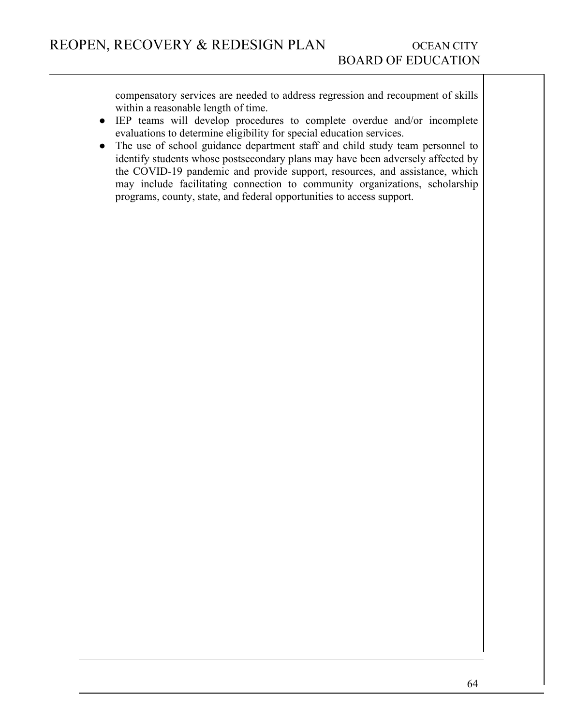compensatory services are needed to address regression and recoupment of skills within a reasonable length of time.

- IEP teams will develop procedures to complete overdue and/or incomplete evaluations to determine eligibility for special education services.
- The use of school guidance department staff and child study team personnel to identify students whose postsecondary plans may have been adversely affected by the COVID-19 pandemic and provide support, resources, and assistance, which may include facilitating connection to community organizations, scholarship programs, county, state, and federal opportunities to access support.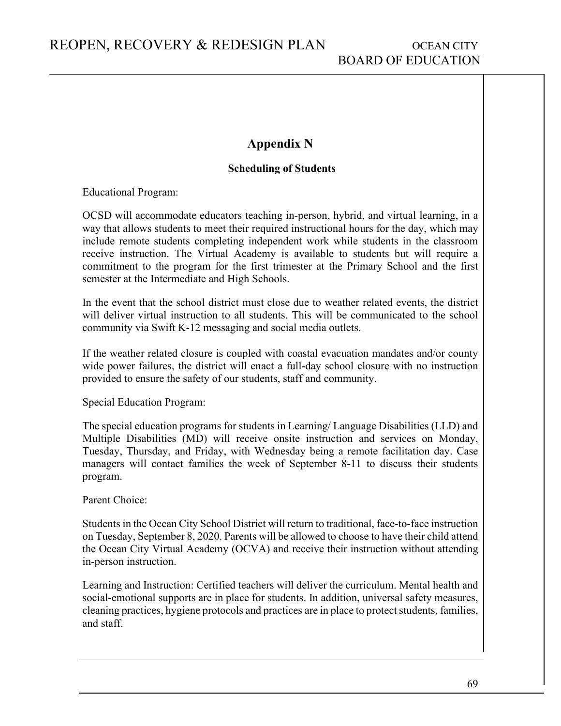## **Appendix N**

#### **Scheduling of Students**

Educational Program:

OCSD will accommodate educators teaching in-person, hybrid, and virtual learning, in a way that allows students to meet their required instructional hours for the day, which may include remote students completing independent work while students in the classroom receive instruction. The Virtual Academy is available to students but will require a commitment to the program for the first trimester at the Primary School and the first semester at the Intermediate and High Schools.

In the event that the school district must close due to weather related events, the district will deliver virtual instruction to all students. This will be communicated to the school community via Swift K-12 messaging and social media outlets.

If the weather related closure is coupled with coastal evacuation mandates and/or county wide power failures, the district will enact a full-day school closure with no instruction provided to ensure the safety of our students, staff and community.

Special Education Program:

The special education programs for students in Learning/ Language Disabilities (LLD) and Multiple Disabilities (MD) will receive onsite instruction and services on Monday, Tuesday, Thursday, and Friday, with Wednesday being a remote facilitation day. Case managers will contact families the week of September 8-11 to discuss their students program.

Parent Choice:

Students in the Ocean City School District will return to traditional, face-to-face instruction on Tuesday, September 8, 2020. Parents will be allowed to choose to have their child attend the Ocean City Virtual Academy (OCVA) and receive their instruction without attending in-person instruction.

Learning and Instruction: Certified teachers will deliver the curriculum. Mental health and social-emotional supports are in place for students. In addition, universal safety measures, cleaning practices, hygiene protocols and practices are in place to protect students, families, and staff.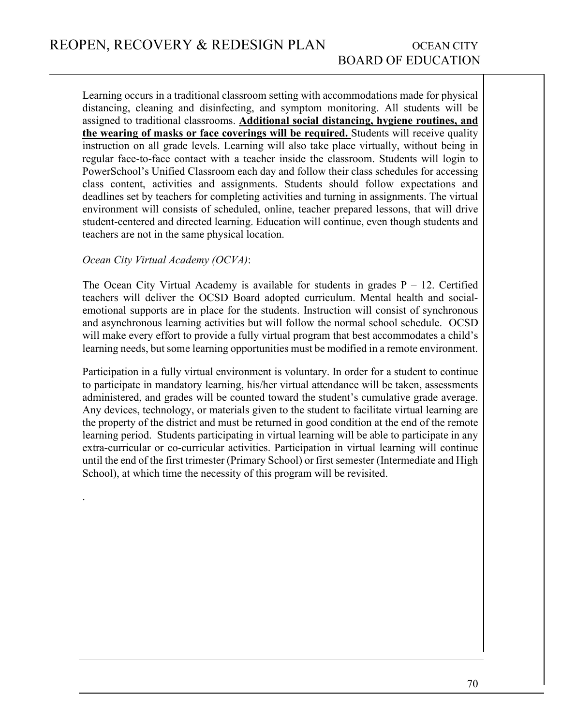Learning occurs in a traditional classroom setting with accommodations made for physical distancing, cleaning and disinfecting, and symptom monitoring. All students will be assigned to traditional classrooms. **Additional social distancing, hygiene routines, and the wearing of masks or face coverings will be required.** Students will receive quality instruction on all grade levels. Learning will also take place virtually, without being in regular face-to-face contact with a teacher inside the classroom. Students will login to PowerSchool's Unified Classroom each day and follow their class schedules for accessing class content, activities and assignments. Students should follow expectations and deadlines set by teachers for completing activities and turning in assignments. The virtual environment will consists of scheduled, online, teacher prepared lessons, that will drive student-centered and directed learning. Education will continue, even though students and teachers are not in the same physical location.

#### *Ocean City Virtual Academy (OCVA)*:

.

The Ocean City Virtual Academy is available for students in grades  $P - 12$ . Certified teachers will deliver the OCSD Board adopted curriculum. Mental health and socialemotional supports are in place for the students. Instruction will consist of synchronous and asynchronous learning activities but will follow the normal school schedule. OCSD will make every effort to provide a fully virtual program that best accommodates a child's learning needs, but some learning opportunities must be modified in a remote environment.

Participation in a fully virtual environment is voluntary. In order for a student to continue to participate in mandatory learning, his/her virtual attendance will be taken, assessments administered, and grades will be counted toward the student's cumulative grade average. Any devices, technology, or materials given to the student to facilitate virtual learning are the property of the district and must be returned in good condition at the end of the remote learning period. Students participating in virtual learning will be able to participate in any extra-curricular or co-curricular activities. Participation in virtual learning will continue until the end of the first trimester (Primary School) or first semester (Intermediate and High School), at which time the necessity of this program will be revisited.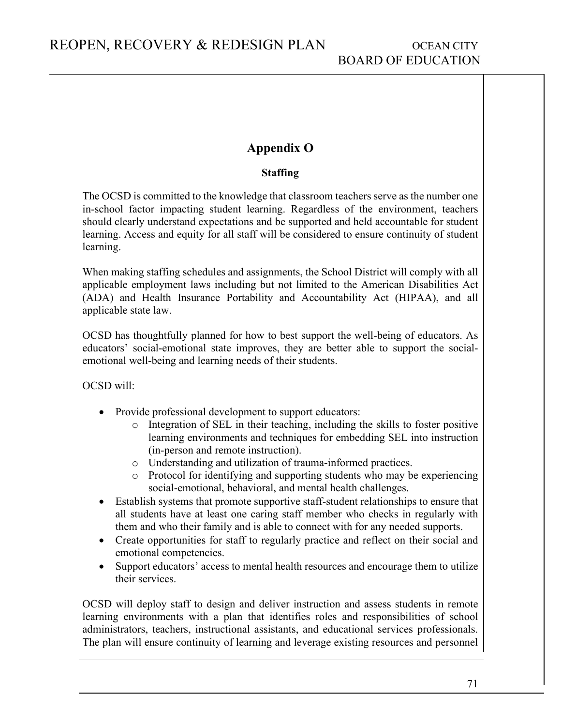## **Appendix O**

### **Staffing**

The OCSD is committed to the knowledge that classroom teachers serve as the number one in-school factor impacting student learning. Regardless of the environment, teachers should clearly understand expectations and be supported and held accountable for student learning. Access and equity for all staff will be considered to ensure continuity of student learning.

When making staffing schedules and assignments, the School District will comply with all applicable employment laws including but not limited to the American Disabilities Act (ADA) and Health Insurance Portability and Accountability Act (HIPAA), and all applicable state law.

OCSD has thoughtfully planned for how to best support the well-being of educators. As educators' social-emotional state improves, they are better able to support the socialemotional well-being and learning needs of their students.

OCSD will:

- Provide professional development to support educators:
	- o Integration of SEL in their teaching, including the skills to foster positive learning environments and techniques for embedding SEL into instruction (in-person and remote instruction).
	- o Understanding and utilization of trauma-informed practices.
	- o Protocol for identifying and supporting students who may be experiencing social-emotional, behavioral, and mental health challenges.
- Establish systems that promote supportive staff-student relationships to ensure that all students have at least one caring staff member who checks in regularly with them and who their family and is able to connect with for any needed supports.
- Create opportunities for staff to regularly practice and reflect on their social and emotional competencies.
- Support educators' access to mental health resources and encourage them to utilize their services.

OCSD will deploy staff to design and deliver instruction and assess students in remote learning environments with a plan that identifies roles and responsibilities of school administrators, teachers, instructional assistants, and educational services professionals. The plan will ensure continuity of learning and leverage existing resources and personnel